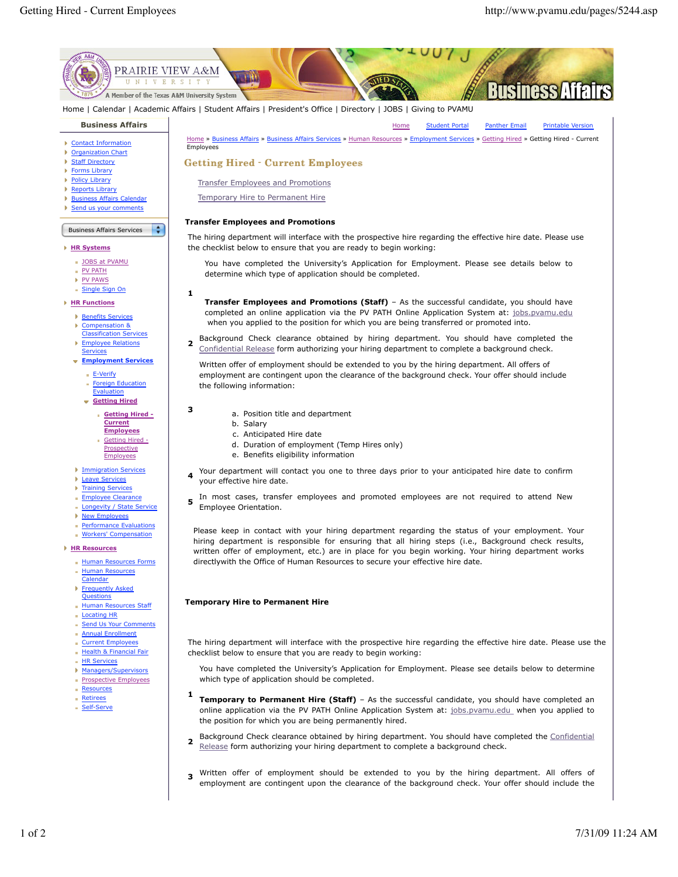